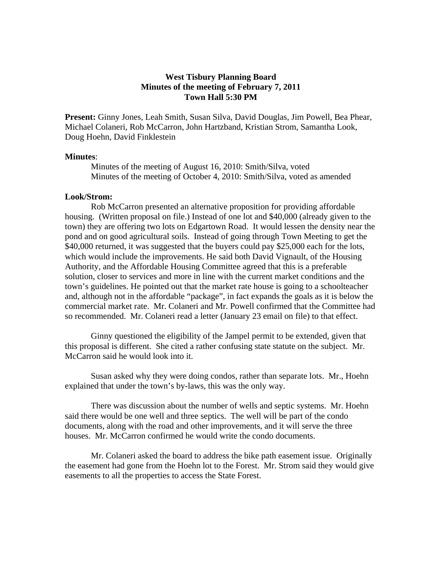# **West Tisbury Planning Board Minutes of the meeting of February 7, 2011 Town Hall 5:30 PM**

**Present:** Ginny Jones, Leah Smith, Susan Silva, David Douglas, Jim Powell, Bea Phear, Michael Colaneri, Rob McCarron, John Hartzband, Kristian Strom, Samantha Look, Doug Hoehn, David Finklestein

# **Minutes**:

Minutes of the meeting of August 16, 2010: Smith/Silva, voted Minutes of the meeting of October 4, 2010: Smith/Silva, voted as amended

# **Look/Strom:**

 Rob McCarron presented an alternative proposition for providing affordable housing. (Written proposal on file.) Instead of one lot and \$40,000 (already given to the town) they are offering two lots on Edgartown Road. It would lessen the density near the pond and on good agricultural soils. Instead of going through Town Meeting to get the \$40,000 returned, it was suggested that the buyers could pay \$25,000 each for the lots, which would include the improvements. He said both David Vignault, of the Housing Authority, and the Affordable Housing Committee agreed that this is a preferable solution, closer to services and more in line with the current market conditions and the town's guidelines. He pointed out that the market rate house is going to a schoolteacher and, although not in the affordable "package", in fact expands the goals as it is below the commercial market rate. Mr. Colaneri and Mr. Powell confirmed that the Committee had so recommended. Mr. Colaneri read a letter (January 23 email on file) to that effect.

 Ginny questioned the eligibility of the Jampel permit to be extended, given that this proposal is different. She cited a rather confusing state statute on the subject. Mr. McCarron said he would look into it.

 Susan asked why they were doing condos, rather than separate lots. Mr., Hoehn explained that under the town's by-laws, this was the only way.

 There was discussion about the number of wells and septic systems. Mr. Hoehn said there would be one well and three septics. The well will be part of the condo documents, along with the road and other improvements, and it will serve the three houses. Mr. McCarron confirmed he would write the condo documents.

 Mr. Colaneri asked the board to address the bike path easement issue. Originally the easement had gone from the Hoehn lot to the Forest. Mr. Strom said they would give easements to all the properties to access the State Forest.